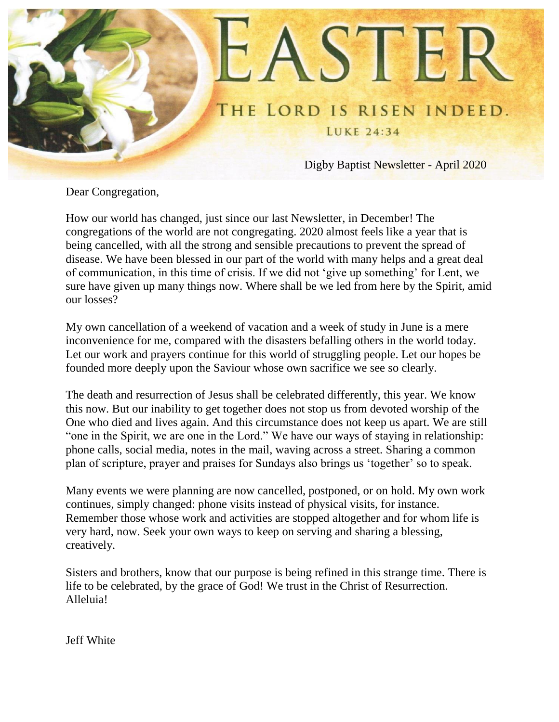

Dear Congregation,

How our world has changed, just since our last Newsletter, in December! The congregations of the world are not congregating. 2020 almost feels like a year that is being cancelled, with all the strong and sensible precautions to prevent the spread of disease. We have been blessed in our part of the world with many helps and a great deal of communication, in this time of crisis. If we did not 'give up something' for Lent, we sure have given up many things now. Where shall be we led from here by the Spirit, amid our losses?

My own cancellation of a weekend of vacation and a week of study in June is a mere inconvenience for me, compared with the disasters befalling others in the world today. Let our work and prayers continue for this world of struggling people. Let our hopes be founded more deeply upon the Saviour whose own sacrifice we see so clearly.

The death and resurrection of Jesus shall be celebrated differently, this year. We know this now. But our inability to get together does not stop us from devoted worship of the One who died and lives again. And this circumstance does not keep us apart. We are still "one in the Spirit, we are one in the Lord." We have our ways of staying in relationship: phone calls, social media, notes in the mail, waving across a street. Sharing a common plan of scripture, prayer and praises for Sundays also brings us 'together' so to speak.

Many events we were planning are now cancelled, postponed, or on hold. My own work continues, simply changed: phone visits instead of physical visits, for instance. Remember those whose work and activities are stopped altogether and for whom life is very hard, now. Seek your own ways to keep on serving and sharing a blessing, creatively.

Sisters and brothers, know that our purpose is being refined in this strange time. There is life to be celebrated, by the grace of God! We trust in the Christ of Resurrection. Alleluia!

Jeff White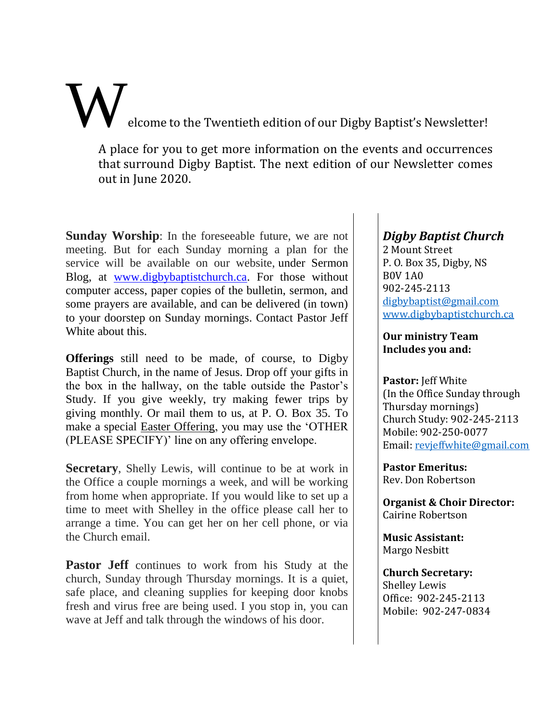elcome to the Twentieth edition of our Digby Baptist's Newsletter!

A place for you to get more information on the events and occurrences that surround Digby Baptist. The next edition of our Newsletter comes out in June 2020.

**Sunday Worship**: In the foreseeable future, we are not meeting. But for each Sunday morning a plan for the service will be available on our website, under Sermon Blog, at [www.digbybaptistchurch.ca.](http://www.digbybaptistchurch.ca/) For those without computer access, paper copies of the bulletin, sermon, and some prayers are available, and can be delivered (in town) to your doorstep on Sunday mornings. Contact Pastor Jeff White about this.

**Offerings** still need to be made, of course, to Digby Baptist Church, in the name of Jesus. Drop off your gifts in the box in the hallway, on the table outside the Pastor's Study. If you give weekly, try making fewer trips by giving monthly. Or mail them to us, at P. O. Box 35. To make a special Easter Offering, you may use the 'OTHER (PLEASE SPECIFY)' line on any offering envelope.

**Secretary**, Shelly Lewis, will continue to be at work in the Office a couple mornings a week, and will be working from home when appropriate. If you would like to set up a time to meet with Shelley in the office please call her to arrange a time. You can get her on her cell phone, or via the Church email.

**Pastor Jeff** continues to work from his Study at the church, Sunday through Thursday mornings. It is a quiet, safe place, and cleaning supplies for keeping door knobs fresh and virus free are being used. I you stop in, you can wave at Jeff and talk through the windows of his door.

# *Digby Baptist Church*

2 Mount Street P. O. Box 35, Digby, NS B0V 1A0 902-245-2113 [digbybaptist@gmail.com](mailto:digbybaptist@gmail.com) [www.digbybaptistchurch.ca](http://www.digbybaptistchurch.ca/)

#### **Our ministry Team Includes you and:**

**Pastor:** Jeff White (In the Office Sunday through Thursday mornings) Church Study: 902-245-2113 Mobile: 902-250-0077 Email[: revjeffwhite@gmail.com](file:///C:/Users/admin/AppData/Roaming/Microsoft/Word/revjeffwhite@gmail.com)

**Pastor Emeritus:** Rev. Don Robertson

**Organist & Choir Director:** Cairine Robertson

**Music Assistant:** Margo Nesbitt

**Church Secretary:** Shelley Lewis Office: 902-245-2113 Mobile: 902-247-0834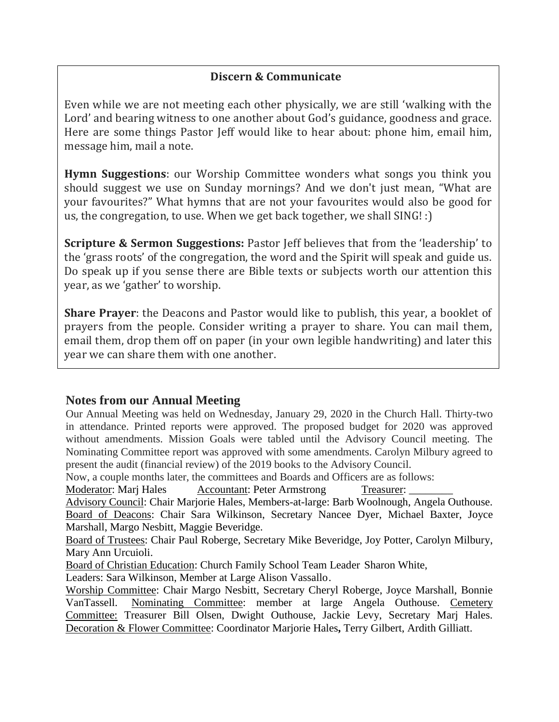## **Discern & Communicate**

Even while we are not meeting each other physically, we are still 'walking with the Lord' and bearing witness to one another about God's guidance, goodness and grace. Here are some things Pastor Jeff would like to hear about: phone him, email him, message him, mail a note.

**Hymn Suggestions**: our Worship Committee wonders what songs you think you should suggest we use on Sunday mornings? And we don't just mean, "What are your favourites?" What hymns that are not your favourites would also be good for us, the congregation, to use. When we get back together, we shall SING! :)

**Scripture & Sermon Suggestions:** Pastor Jeff believes that from the 'leadership' to the 'grass roots' of the congregation, the word and the Spirit will speak and guide us. Do speak up if you sense there are Bible texts or subjects worth our attention this year, as we 'gather' to worship.

**Share Prayer**: the Deacons and Pastor would like to publish, this year, a booklet of prayers from the people. Consider writing a prayer to share. You can mail them, email them, drop them off on paper (in your own legible handwriting) and later this year we can share them with one another.

### **Notes from our Annual Meeting**

Our Annual Meeting was held on Wednesday, January 29, 2020 in the Church Hall. Thirty-two in attendance. Printed reports were approved. The proposed budget for 2020 was approved without amendments. Mission Goals were tabled until the Advisory Council meeting. The Nominating Committee report was approved with some amendments. Carolyn Milbury agreed to present the audit (financial review) of the 2019 books to the Advisory Council.

Now, a couple months later, the committees and Boards and Officers are as follows:

Moderator: Mari Hales Accountant: Peter Armstrong Treasurer:

Advisory Council: Chair Marjorie Hales, Members-at-large: Barb Woolnough, Angela Outhouse. Board of Deacons: Chair Sara Wilkinson, Secretary Nancee Dyer, Michael Baxter, Joyce Marshall, Margo Nesbitt, Maggie Beveridge.

Board of Trustees: Chair Paul Roberge, Secretary Mike Beveridge, Joy Potter, Carolyn Milbury, Mary Ann Urcuioli.

Board of Christian Education: Church Family School Team Leader Sharon White,

Leaders: Sara Wilkinson, Member at Large Alison Vassallo.

Worship Committee: Chair Margo Nesbitt, Secretary Cheryl Roberge, Joyce Marshall, Bonnie VanTassell. Nominating Committee: member at large Angela Outhouse. Cemetery Committee: Treasurer Bill Olsen, Dwight Outhouse, Jackie Levy, Secretary Marj Hales. Decoration & Flower Committee: Coordinator Marjorie Hales**,** Terry Gilbert, Ardith Gilliatt.